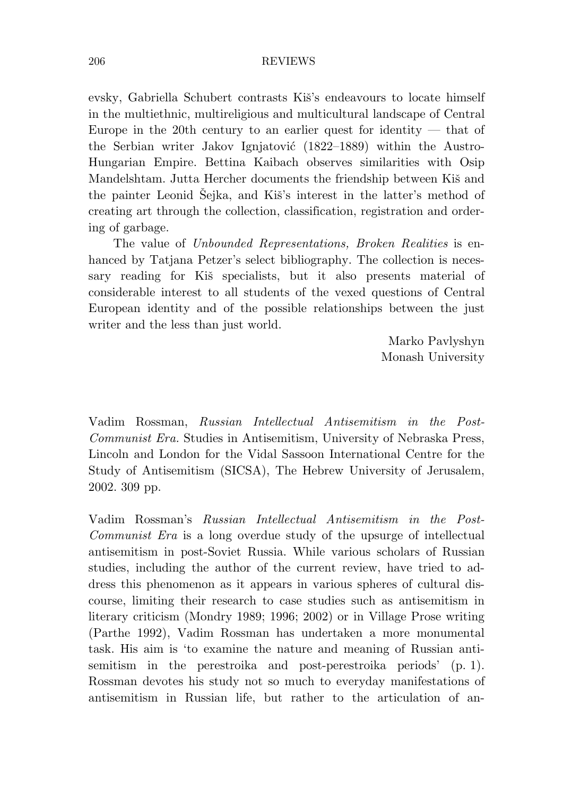evsky, Gabriella Schubert contrasts Kiš's endeavours to locate himself in the multiethnic, multireligious and multicultural landscape of Central Europe in the 20th century to an earlier quest for identity  $-$  that of the Serbian writer Jakov Ignjatović (1822–1889) within the Austro-Hungarian Empire. Bettina Kaibach observes similarities with Osip Mandelshtam. Jutta Hercher documents the friendship between Kiš and the painter Leonid Šejka, and Kiš's interest in the latter's method of creating art through the collection, classification, registration and ordering of garbage.

The value of *Unbounded Representations, Broken Realities* is enhanced by Tatjana Petzer's select bibliography. The collection is necessary reading for Kiš specialists, but it also presents material of considerable interest to all students of the vexed questions of Central European identity and of the possible relationships between the just writer and the less than just world.

> Marko Pavlyshyn Monash University

Vadim Rossman, *Russian Intellectual Antisemitism in the Post-Communist Era.* Studies in Antisemitism, University of Nebraska Press, Lincoln and London for the Vidal Sassoon International Centre for the Study of Antisemitism (SICSA), The Hebrew University of Jerusalem, 2002. 309 pp.

Vadim Rossman's *Russian Intellectual Antisemitism in the Post-Communist Era* is a long overdue study of the upsurge of intellectual antisemitism in post-Soviet Russia. While various scholars of Russian studies, including the author of the current review, have tried to address this phenomenon as it appears in various spheres of cultural discourse, limiting their research to case studies such as antisemitism in literary criticism (Mondry 1989; 1996; 2002) or in Village Prose writing (Parthe 1992), Vadim Rossman has undertaken a more monumental task. His aim is 'to examine the nature and meaning of Russian antisemitism in the perestroika and post-perestroika periods' (p. 1). Rossman devotes his study not so much to everyday manifestations of antisemitism in Russian life, but rather to the articulation of an-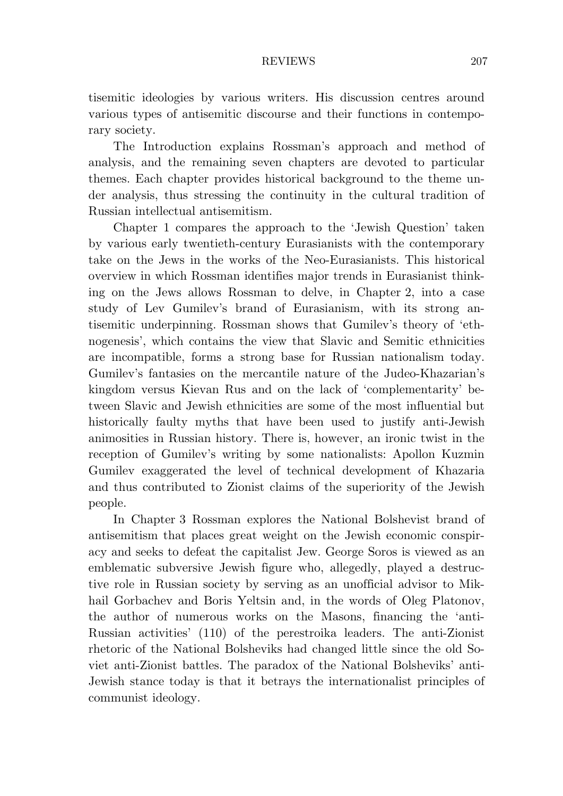tisemitic ideologies by various writers. His discussion centres around various types of antisemitic discourse and their functions in contemporary society.

The Introduction explains Rossman's approach and method of analysis, and the remaining seven chapters are devoted to particular themes. Each chapter provides historical background to the theme under analysis, thus stressing the continuity in the cultural tradition of Russian intellectual antisemitism.

Chapter 1 compares the approach to the 'Jewish Question' taken by various early twentieth-century Eurasianists with the contemporary take on the Jews in the works of the Neo-Eurasianists. This historical overview in which Rossman identifies major trends in Eurasianist thinking on the Jews allows Rossman to delve, in Chapter 2, into a case study of Lev Gumilev's brand of Eurasianism, with its strong antisemitic underpinning. Rossman shows that Gumilev's theory of 'ethnogenesis', which contains the view that Slavic and Semitic ethnicities are incompatible, forms a strong base for Russian nationalism today. Gumilev's fantasies on the mercantile nature of the Judeo-Khazarian's kingdom versus Kievan Rus and on the lack of 'complementarity' between Slavic and Jewish ethnicities are some of the most influential but historically faulty myths that have been used to justify anti-Jewish animosities in Russian history. There is, however, an ironic twist in the reception of Gumilev's writing by some nationalists: Apollon Kuzmin Gumilev exaggerated the level of technical development of Khazaria and thus contributed to Zionist claims of the superiority of the Jewish people.

In Chapter 3 Rossman explores the National Bolshevist brand of antisemitism that places great weight on the Jewish economic conspiracy and seeks to defeat the capitalist Jew. George Soros is viewed as an emblematic subversive Jewish figure who, allegedly, played a destructive role in Russian society by serving as an unofficial advisor to Mikhail Gorbachev and Boris Yeltsin and, in the words of Oleg Platonov, the author of numerous works on the Masons, financing the 'anti-Russian activities' (110) of the perestroika leaders. The anti-Zionist rhetoric of the National Bolsheviks had changed little since the old Soviet anti-Zionist battles. The paradox of the National Bolsheviks' anti-Jewish stance today is that it betrays the internationalist principles of communist ideology.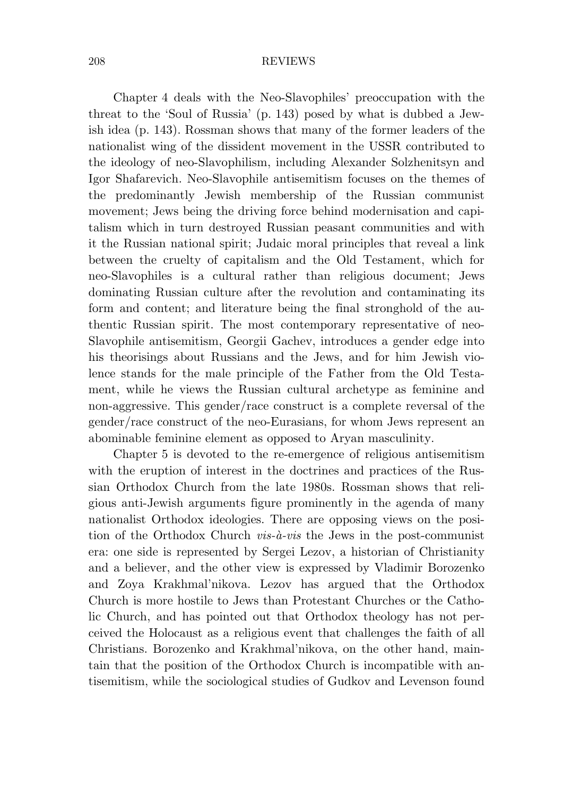Chapter 4 deals with the Neo-Slavophiles' preoccupation with the threat to the 'Soul of Russia' (p. 143) posed by what is dubbed a Jewish idea (p. 143). Rossman shows that many of the former leaders of the nationalist wing of the dissident movement in the USSR contributed to the ideology of neo-Slavophilism, including Alexander Solzhenitsyn and Igor Shafarevich. Neo-Slavophile antisemitism focuses on the themes of the predominantly Jewish membership of the Russian communist movement; Jews being the driving force behind modernisation and capitalism which in turn destroyed Russian peasant communities and with it the Russian national spirit; Judaic moral principles that reveal a link between the cruelty of capitalism and the Old Testament, which for neo-Slavophiles is a cultural rather than religious document; Jews dominating Russian culture after the revolution and contaminating its form and content; and literature being the final stronghold of the authentic Russian spirit. The most contemporary representative of neo-Slavophile antisemitism, Georgii Gachev, introduces a gender edge into his theorisings about Russians and the Jews, and for him Jewish violence stands for the male principle of the Father from the Old Testament, while he views the Russian cultural archetype as feminine and non-aggressive. This gender/race construct is a complete reversal of the gender/race construct of the neo-Eurasians, for whom Jews represent an abominable feminine element as opposed to Aryan masculinity.

Chapter 5 is devoted to the re-emergence of religious antisemitism with the eruption of interest in the doctrines and practices of the Russian Orthodox Church from the late 1980s. Rossman shows that religious anti-Jewish arguments figure prominently in the agenda of many nationalist Orthodox ideologies. There are opposing views on the position of the Orthodox Church *vis-à-vis* the Jews in the post-communist era: one side is represented by Sergei Lezov, a historian of Christianity and a believer, and the other view is expressed by Vladimir Borozenko and Zoya Krakhmal'nikova. Lezov has argued that the Orthodox Church is more hostile to Jews than Protestant Churches or the Catholic Church, and has pointed out that Orthodox theology has not perceived the Holocaust as a religious event that challenges the faith of all Christians. Borozenko and Krakhmal'nikova, on the other hand, maintain that the position of the Orthodox Church is incompatible with antisemitism, while the sociological studies of Gudkov and Levenson found